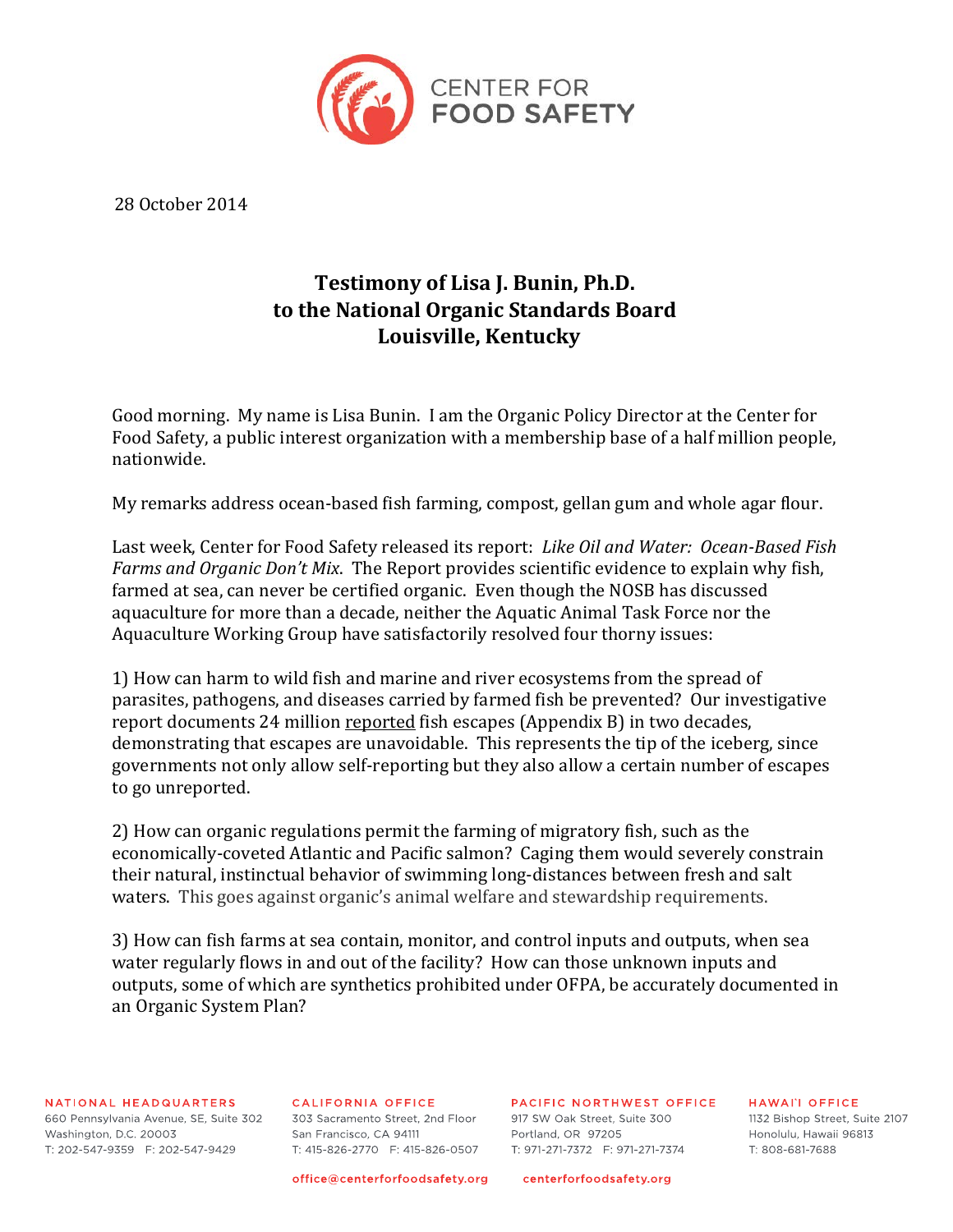

28 October 2014

## **Testimony of Lisa J. Bunin, Ph.D. to the National Organic Standards Board Louisville, Kentucky**

Good morning. My name is Lisa Bunin. I am the Organic Policy Director at the Center for Food Safety, a public interest organization with a membership base of a half million people, nationwide.

My remarks address ocean-based fish farming, compost, gellan gum and whole agar flour.

Last week, Center for Food Safety released its report: *Like Oil and Water: Ocean-Based Fish Farms and Organic Don't Mix*. The Report provides scientific evidence to explain why fish, farmed at sea, can never be certified organic. Even though the NOSB has discussed aquaculture for more than a decade, neither the Aquatic Animal Task Force nor the Aquaculture Working Group have satisfactorily resolved four thorny issues:

1) How can harm to wild fish and marine and river ecosystems from the spread of parasites, pathogens, and diseases carried by farmed fish be prevented? Our investigative report documents 24 million reported fish escapes (Appendix B) in two decades, demonstrating that escapes are unavoidable. This represents the tip of the iceberg, since governments not only allow self-reporting but they also allow a certain number of escapes to go unreported.

2) How can organic regulations permit the farming of migratory fish, such as the economically-coveted Atlantic and Pacific salmon? Caging them would severely constrain their natural, instinctual behavior of swimming long-distances between fresh and salt waters. This goes against organic's animal welfare and stewardship requirements.

3) How can fish farms at sea contain, monitor, and control inputs and outputs, when sea water regularly flows in and out of the facility? How can those unknown inputs and outputs, some of which are synthetics prohibited under OFPA, be accurately documented in an Organic System Plan?

NATIONAL HEADQUARTERS

660 Pennsylvania Avenue, SE, Suite 302 Washington, D.C. 20003 T: 202-547-9359 F: 202-547-9429

CALIFORNIA OFFICE

303 Sacramento Street, 2nd Floor San Francisco, CA 94111 T: 415-826-2770 F: 415-826-0507

PACIFIC NORTHWEST OFFICE

917 SW Oak Street, Suite 300 Portland, OR 97205 

**HAWALL OFFICE** 1132 Bishop Street. Suite 2107 Honolulu, Hawaii 96813 T: 808-681-7688

office@centerforfoodsafety.org

centerforfoodsafety.org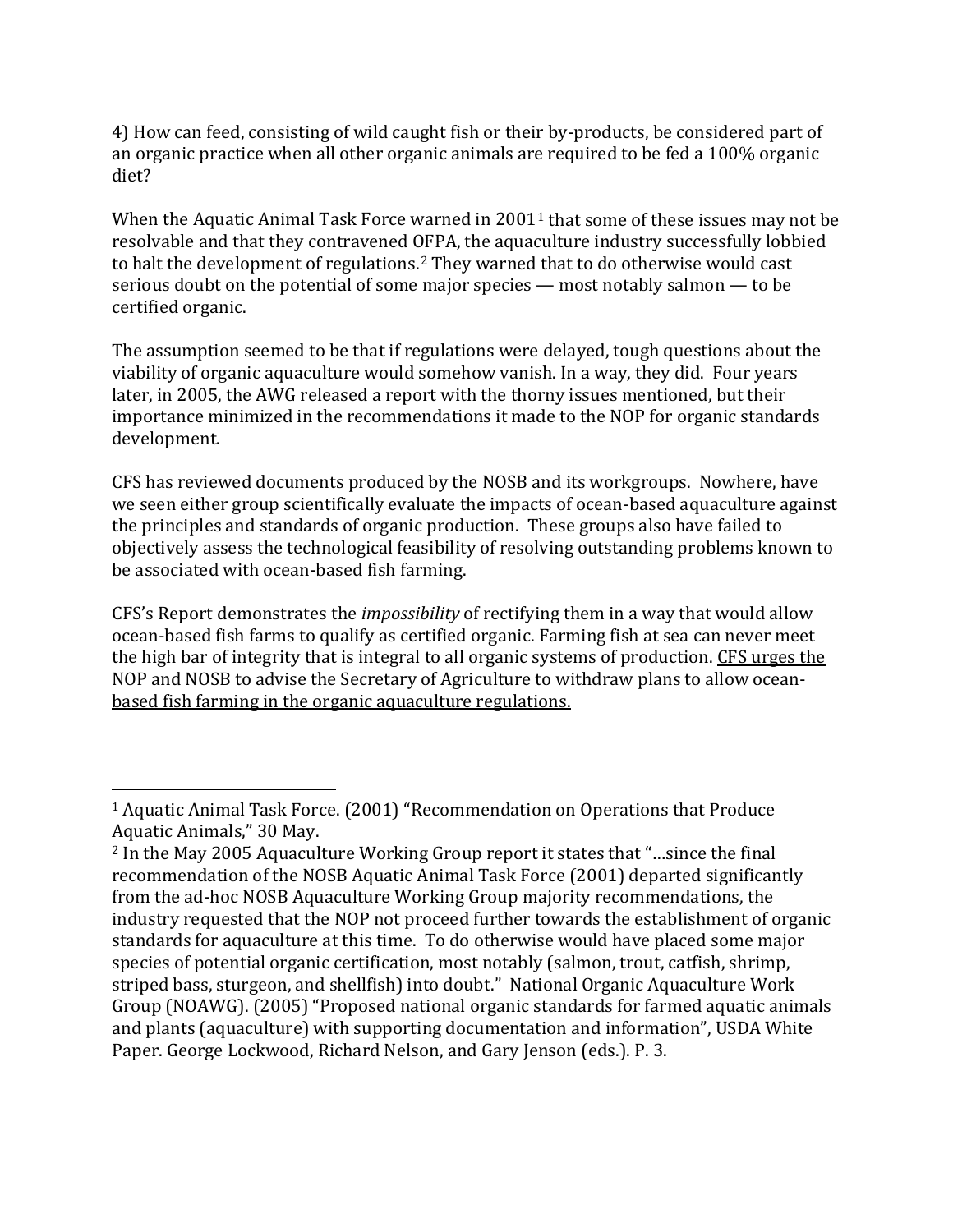4) How can feed, consisting of wild caught fish or their by-products, be considered part of an organic practice when all other organic animals are required to be fed a 100% organic diet?

When the Aquatic Animal Task Force warned in  $2001<sup>1</sup>$  $2001<sup>1</sup>$  $2001<sup>1</sup>$  that some of these issues may not be resolvable and that they contravened OFPA, the aquaculture industry successfully lobbied to halt the development of regulations.[2](#page-1-1) They warned that to do otherwise would cast serious doubt on the potential of some major species — most notably salmon — to be certified organic.

The assumption seemed to be that if regulations were delayed, tough questions about the viability of organic aquaculture would somehow vanish. In a way, they did. Four years later, in 2005, the AWG released a report with the thorny issues mentioned, but their importance minimized in the recommendations it made to the NOP for organic standards development.

CFS has reviewed documents produced by the NOSB and its workgroups. Nowhere, have we seen either group scientifically evaluate the impacts of ocean-based aquaculture against the principles and standards of organic production. These groups also have failed to objectively assess the technological feasibility of resolving outstanding problems known to be associated with ocean-based fish farming.

CFS's Report demonstrates the *impossibility* of rectifying them in a way that would allow ocean-based fish farms to qualify as certified organic. Farming fish at sea can never meet the high bar of integrity that is integral to all organic systems of production. CFS urges the NOP and NOSB to advise the Secretary of Agriculture to withdraw plans to allow oceanbased fish farming in the organic aquaculture regulations.

<span id="page-1-0"></span><sup>1</sup> Aquatic Animal Task Force. (2001) "Recommendation on Operations that Produce Aquatic Animals," 30 May. i<br>I

<span id="page-1-1"></span><sup>2</sup> In the May 2005 Aquaculture Working Group report it states that "…since the final recommendation of the NOSB Aquatic Animal Task Force (2001) departed significantly from the ad-hoc NOSB Aquaculture Working Group majority recommendations, the industry requested that the NOP not proceed further towards the establishment of organic standards for aquaculture at this time. To do otherwise would have placed some major species of potential organic certification, most notably (salmon, trout, catfish, shrimp, striped bass, sturgeon, and shellfish) into doubt." National Organic Aquaculture Work Group (NOAWG). (2005) "Proposed national organic standards for farmed aquatic animals and plants (aquaculture) with supporting documentation and information", USDA White Paper. George Lockwood, Richard Nelson, and Gary Jenson (eds.). P. 3.